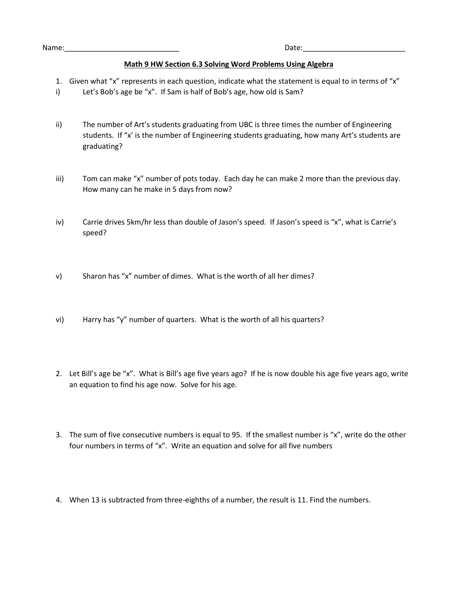## **Math 9 HW Section 6.3 Solving Word Problems Using Algebra**

- 1. Given what "x" represents in each question, indicate what the statement is equal to in terms of "x"
- i) Let's Bob's age be "x". If Sam is half of Bob's age, how old is Sam?
- ii) The number of Art's students graduating from UBC is three times the number of Engineering students. If "x' is the number of Engineering students graduating, how many Art's students are graduating?
- iii) Tom can make "x" number of pots today. Each day he can make 2 more than the previous day. How many can he make in 5 days from now?
- iv) Carrie drives 5km/hr less than double of Jason's speed. If Jason's speed is "x", what is Carrie's speed?
- v) Sharon has "x" number of dimes. What is the worth of all her dimes?
- vi) Harry has "y" number of quarters. What is the worth of all his quarters?
- 2. Let Bill's age be "x". What is Bill's age five years ago? If he is now double his age five years ago, write an equation to find his age now. Solve for his age.
- 3. The sum of five consecutive numbers is equal to 95. If the smallest number is "x", write do the other four numbers in terms of "x". Write an equation and solve for all five numbers
- 4. When 13 is subtracted from three-eighths of a number, the result is 11. Find the numbers.